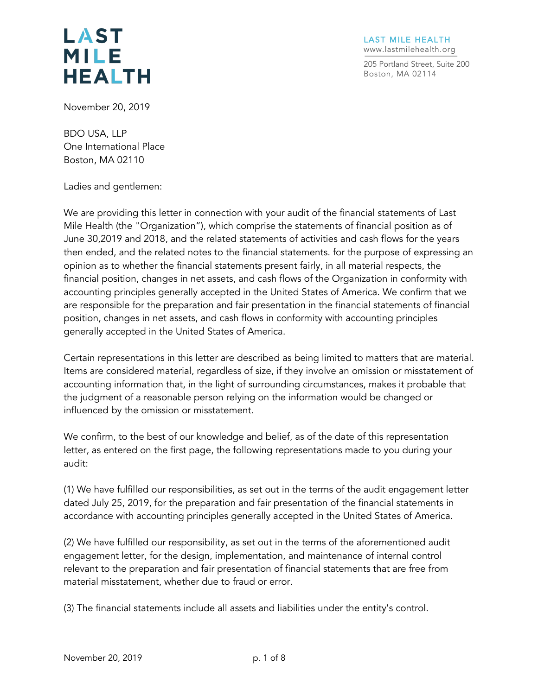LAST MILE HEALTH www.lastmilehealth.org

205 Portland Street, Suite 200 Boston, MA 02114

November 20, 2019

BDO USA, LLP One International Place Boston, MA 02110

Ladies and gentlemen:

We are providing this letter in connection with your audit of the financial statements of Last Mile Health (the "Organization"), which comprise the statements of financial position as of June 30,2019 and 2018, and the related statements of activities and cash flows for the years then ended, and the related notes to the financial statements. for the purpose of expressing an opinion as to whether the financial statements present fairly, in all material respects, the financial position, changes in net assets, and cash flows of the Organization in conformity with accounting principles generally accepted in the United States of America. We confirm that we are responsible for the preparation and fair presentation in the financial statements of financial position, changes in net assets, and cash flows in conformity with accounting principles generally accepted in the United States of America.

Certain representations in this letter are described as being limited to matters that are material. Items are considered material, regardless of size, if they involve an omission or misstatement of accounting information that, in the light of surrounding circumstances, makes it probable that the judgment of a reasonable person relying on the information would be changed or influenced by the omission or misstatement.

We confirm, to the best of our knowledge and belief, as of the date of this representation letter, as entered on the first page, the following representations made to you during your audit:

(1) We have fulfilled our responsibilities, as set out in the terms of the audit engagement letter dated July 25, 2019, for the preparation and fair presentation of the financial statements in accordance with accounting principles generally accepted in the United States of America.

(2) We have fulfilled our responsibility, as set out in the terms of the aforementioned audit engagement letter, for the design, implementation, and maintenance of internal control relevant to the preparation and fair presentation of financial statements that are free from material misstatement, whether due to fraud or error.

(3) The financial statements include all assets and liabilities under the entity's control.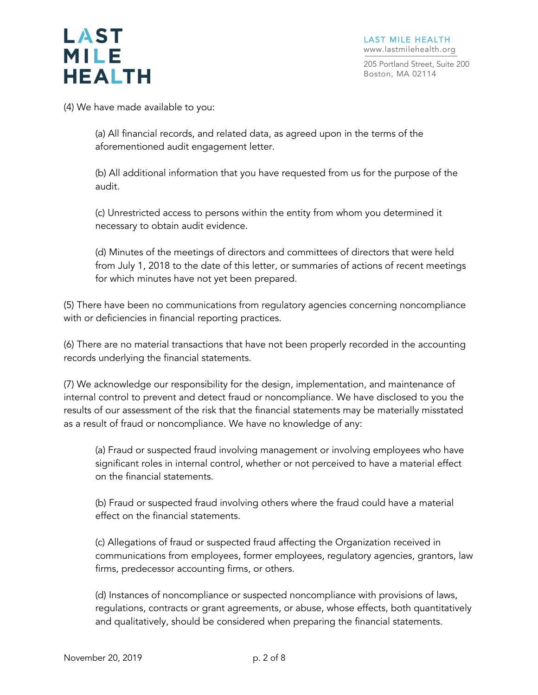205 Portland Street, Suite 200 Boston, MA 02114

(4) We have made available to you:

(a) All financial records, and related data, as agreed upon in the terms of the aforementioned audit engagement letter.

(b) All additional information that you have requested from us for the purpose of the audit.

(c) Unrestricted access to persons within the entity from whom you determined it necessary to obtain audit evidence.

(d) Minutes of the meetings of directors and committees of directors that were held from July 1, 2018 to the date of this letter, or summaries of actions of recent meetings for which minutes have not yet been prepared.

(5) There have been no communications from regulatory agencies concerning noncompliance with or deficiencies in financial reporting practices.

(6) There are no material transactions that have not been properly recorded in the accounting records underlying the financial statements.

(7) We acknowledge our responsibility for the design, implementation, and maintenance of internal control to prevent and detect fraud or noncompliance. We have disclosed to you the results of our assessment of the risk that the financial statements may be materially misstated as a result of fraud or noncompliance. We have no knowledge of any:

(a) Fraud or suspected fraud involving management or involving employees who have significant roles in internal control, whether or not perceived to have a material effect on the financial statements.

(b) Fraud or suspected fraud involving others where the fraud could have a material effect on the financial statements.

(c) Allegations of fraud or suspected fraud affecting the Organization received in communications from employees, former employees, regulatory agencies, grantors, law firms, predecessor accounting firms, or others.

(d) Instances of noncompliance or suspected noncompliance with provisions of laws, regulations, contracts or grant agreements, or abuse, whose effects, both quantitatively and qualitatively, should be considered when preparing the financial statements.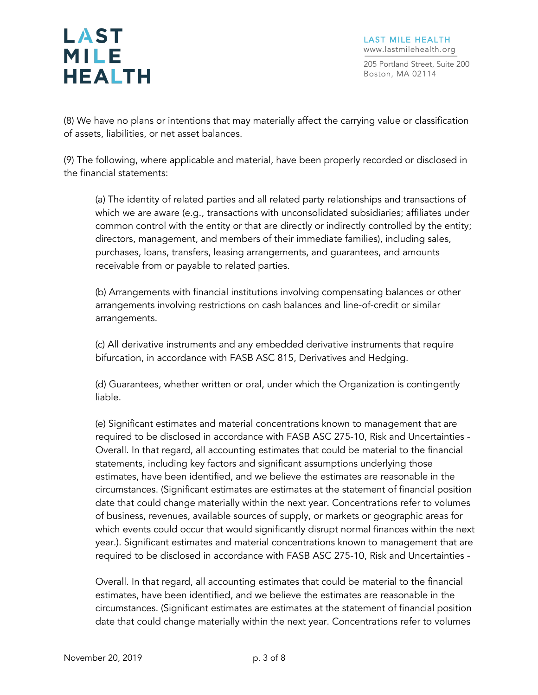205 Portland Street, Suite 200 Boston, MA 02114

(8) We have no plans or intentions that may materially affect the carrying value or classification of assets, liabilities, or net asset balances.

(9) The following, where applicable and material, have been properly recorded or disclosed in the financial statements:

(a) The identity of related parties and all related party relationships and transactions of which we are aware (e.g., transactions with unconsolidated subsidiaries; affiliates under common control with the entity or that are directly or indirectly controlled by the entity; directors, management, and members of their immediate families), including sales, purchases, loans, transfers, leasing arrangements, and guarantees, and amounts receivable from or payable to related parties.

(b) Arrangements with financial institutions involving compensating balances or other arrangements involving restrictions on cash balances and line-of-credit or similar arrangements.

(c) All derivative instruments and any embedded derivative instruments that require bifurcation, in accordance with FASB ASC 815, Derivatives and Hedging.

(d) Guarantees, whether written or oral, under which the Organization is contingently liable.

(e) Significant estimates and material concentrations known to management that are required to be disclosed in accordance with FASB ASC 275-10, Risk and Uncertainties - Overall. In that regard, all accounting estimates that could be material to the financial statements, including key factors and significant assumptions underlying those estimates, have been identified, and we believe the estimates are reasonable in the circumstances. (Significant estimates are estimates at the statement of financial position date that could change materially within the next year. Concentrations refer to volumes of business, revenues, available sources of supply, or markets or geographic areas for which events could occur that would significantly disrupt normal finances within the next year.). Significant estimates and material concentrations known to management that are required to be disclosed in accordance with FASB ASC 275-10, Risk and Uncertainties -

Overall. In that regard, all accounting estimates that could be material to the financial estimates, have been identified, and we believe the estimates are reasonable in the circumstances. (Significant estimates are estimates at the statement of financial position date that could change materially within the next year. Concentrations refer to volumes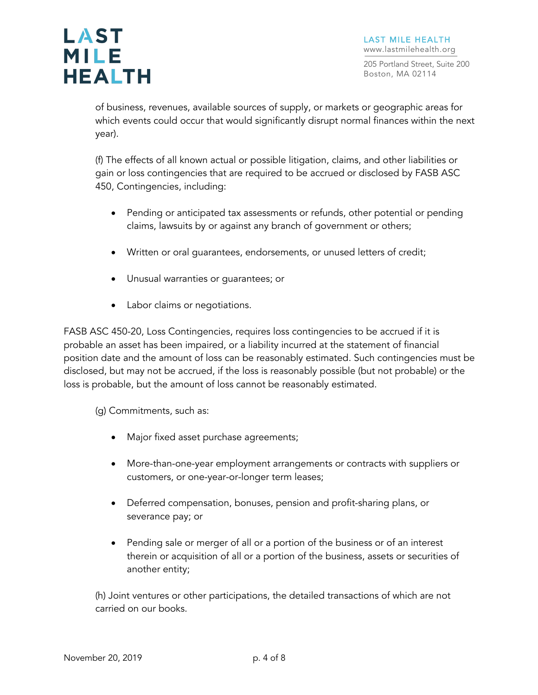205 Portland Street, Suite 200 Boston, MA 02114

of business, revenues, available sources of supply, or markets or geographic areas for which events could occur that would significantly disrupt normal finances within the next year).

(f) The effects of all known actual or possible litigation, claims, and other liabilities or gain or loss contingencies that are required to be accrued or disclosed by FASB ASC 450, Contingencies, including:

- Pending or anticipated tax assessments or refunds, other potential or pending claims, lawsuits by or against any branch of government or others;
- Written or oral guarantees, endorsements, or unused letters of credit;
- Unusual warranties or guarantees; or
- Labor claims or negotiations.

FASB ASC 450-20, Loss Contingencies, requires loss contingencies to be accrued if it is probable an asset has been impaired, or a liability incurred at the statement of financial position date and the amount of loss can be reasonably estimated. Such contingencies must be disclosed, but may not be accrued, if the loss is reasonably possible (but not probable) or the loss is probable, but the amount of loss cannot be reasonably estimated.

(g) Commitments, such as:

- Major fixed asset purchase agreements;
- More-than-one-year employment arrangements or contracts with suppliers or customers, or one-year-or-longer term leases;
- Deferred compensation, bonuses, pension and profit-sharing plans, or severance pay; or
- Pending sale or merger of all or a portion of the business or of an interest therein or acquisition of all or a portion of the business, assets or securities of another entity;

(h) Joint ventures or other participations, the detailed transactions of which are not carried on our books.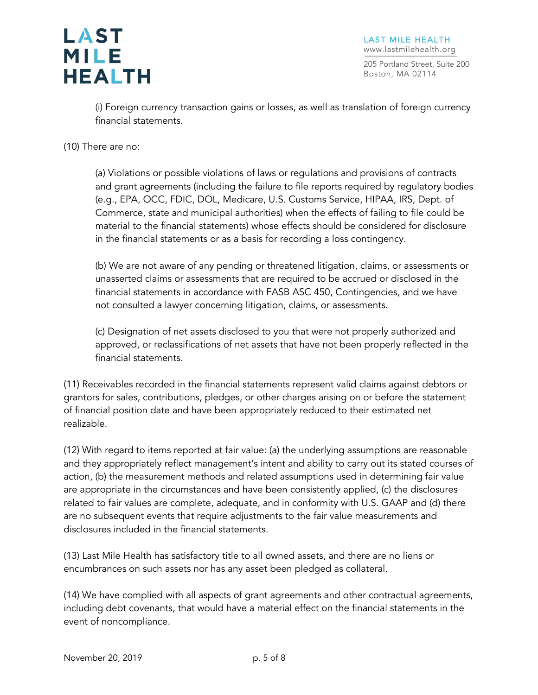

205 Portland Street, Suite 200 Boston, MA 02114

(i) Foreign currency transaction gains or losses, as well as translation of foreign currency financial statements.

(10) There are no:

(a) Violations or possible violations of laws or regulations and provisions of contracts and grant agreements (including the failure to file reports required by regulatory bodies (e.g., EPA, OCC, FDIC, DOL, Medicare, U.S. Customs Service, HIPAA, IRS, Dept. of Commerce, state and municipal authorities) when the effects of failing to file could be material to the financial statements) whose effects should be considered for disclosure in the financial statements or as a basis for recording a loss contingency.

(b) We are not aware of any pending or threatened litigation, claims, or assessments or unasserted claims or assessments that are required to be accrued or disclosed in the financial statements in accordance with FASB ASC 450, Contingencies, and we have not consulted a lawyer concerning litigation, claims, or assessments.

(c) Designation of net assets disclosed to you that were not properly authorized and approved, or reclassifications of net assets that have not been properly reflected in the financial statements.

(11) Receivables recorded in the financial statements represent valid claims against debtors or grantors for sales, contributions, pledges, or other charges arising on or before the statement of financial position date and have been appropriately reduced to their estimated net realizable.

(12) With regard to items reported at fair value: (a) the underlying assumptions are reasonable and they appropriately reflect management's intent and ability to carry out its stated courses of action, (b) the measurement methods and related assumptions used in determining fair value are appropriate in the circumstances and have been consistently applied, (c) the disclosures related to fair values are complete, adequate, and in conformity with U.S. GAAP and (d) there are no subsequent events that require adjustments to the fair value measurements and disclosures included in the financial statements.

(13) Last Mile Health has satisfactory title to all owned assets, and there are no liens or encumbrances on such assets nor has any asset been pledged as collateral.

(14) We have complied with all aspects of grant agreements and other contractual agreements, including debt covenants, that would have a material effect on the financial statements in the event of noncompliance.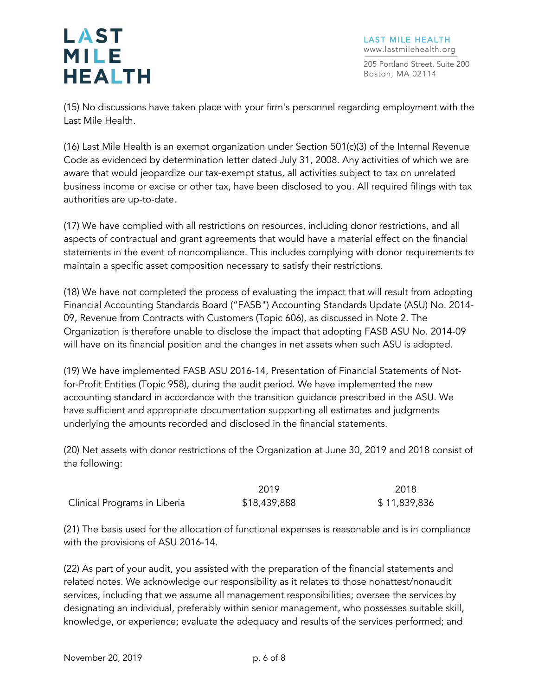LAST MILE HEALTH www.lastmilehealth.org

205 Portland Street, Suite 200 Boston, MA 02114

(15) No discussions have taken place with your firm's personnel regarding employment with the Last Mile Health.

(16) Last Mile Health is an exempt organization under Section 501(c)(3) of the Internal Revenue Code as evidenced by determination letter dated July 31, 2008. Any activities of which we are aware that would jeopardize our tax-exempt status, all activities subject to tax on unrelated business income or excise or other tax, have been disclosed to you. All required filings with tax authorities are up-to-date.

(17) We have complied with all restrictions on resources, including donor restrictions, and all aspects of contractual and grant agreements that would have a material effect on the financial statements in the event of noncompliance. This includes complying with donor requirements to maintain a specific asset composition necessary to satisfy their restrictions.

(18) We have not completed the process of evaluating the impact that will result from adopting Financial Accounting Standards Board ("FASB") Accounting Standards Update (ASU) No. 2014- 09, Revenue from Contracts with Customers (Topic 606), as discussed in Note 2. The Organization is therefore unable to disclose the impact that adopting FASB ASU No. 2014-09 will have on its financial position and the changes in net assets when such ASU is adopted.

(19) We have implemented FASB ASU 2016-14, Presentation of Financial Statements of Notfor-Profit Entities (Topic 958), during the audit period. We have implemented the new accounting standard in accordance with the transition guidance prescribed in the ASU. We have sufficient and appropriate documentation supporting all estimates and judgments underlying the amounts recorded and disclosed in the financial statements.

(20) Net assets with donor restrictions of the Organization at June 30, 2019 and 2018 consist of the following:

|                              | 2019         | 2018         |
|------------------------------|--------------|--------------|
| Clinical Programs in Liberia | \$18,439,888 | \$11,839,836 |

(21) The basis used for the allocation of functional expenses is reasonable and is in compliance with the provisions of ASU 2016-14.

(22) As part of your audit, you assisted with the preparation of the financial statements and related notes. We acknowledge our responsibility as it relates to those nonattest/nonaudit services, including that we assume all management responsibilities; oversee the services by designating an individual, preferably within senior management, who possesses suitable skill, knowledge, or experience; evaluate the adequacy and results of the services performed; and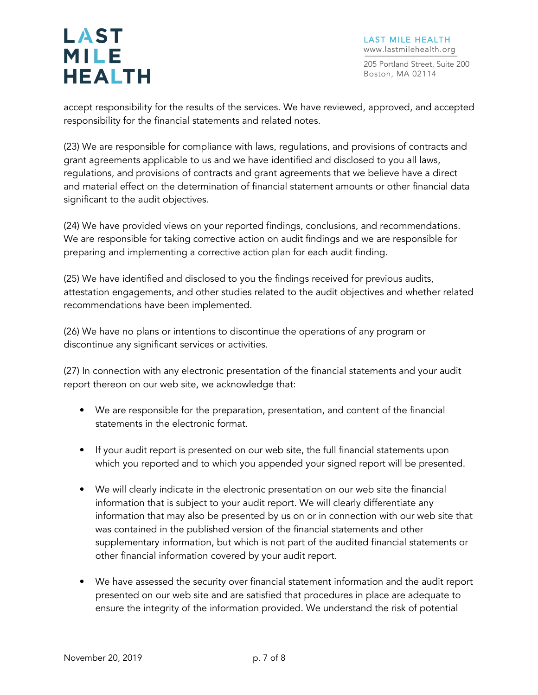LAST MILE HEALTH www.lastmilehealth.org

205 Portland Street, Suite 200 Boston, MA 02114

accept responsibility for the results of the services. We have reviewed, approved, and accepted responsibility for the financial statements and related notes.

(23) We are responsible for compliance with laws, regulations, and provisions of contracts and grant agreements applicable to us and we have identified and disclosed to you all laws, regulations, and provisions of contracts and grant agreements that we believe have a direct and material effect on the determination of financial statement amounts or other financial data significant to the audit objectives.

(24) We have provided views on your reported findings, conclusions, and recommendations. We are responsible for taking corrective action on audit findings and we are responsible for preparing and implementing a corrective action plan for each audit finding.

(25) We have identified and disclosed to you the findings received for previous audits, attestation engagements, and other studies related to the audit objectives and whether related recommendations have been implemented.

(26) We have no plans or intentions to discontinue the operations of any program or discontinue any significant services or activities.

(27) In connection with any electronic presentation of the financial statements and your audit report thereon on our web site, we acknowledge that:

- We are responsible for the preparation, presentation, and content of the financial statements in the electronic format.
- If your audit report is presented on our web site, the full financial statements upon which you reported and to which you appended your signed report will be presented.
- We will clearly indicate in the electronic presentation on our web site the financial information that is subject to your audit report. We will clearly differentiate any information that may also be presented by us on or in connection with our web site that was contained in the published version of the financial statements and other supplementary information, but which is not part of the audited financial statements or other financial information covered by your audit report.
- We have assessed the security over financial statement information and the audit report presented on our web site and are satisfied that procedures in place are adequate to ensure the integrity of the information provided. We understand the risk of potential